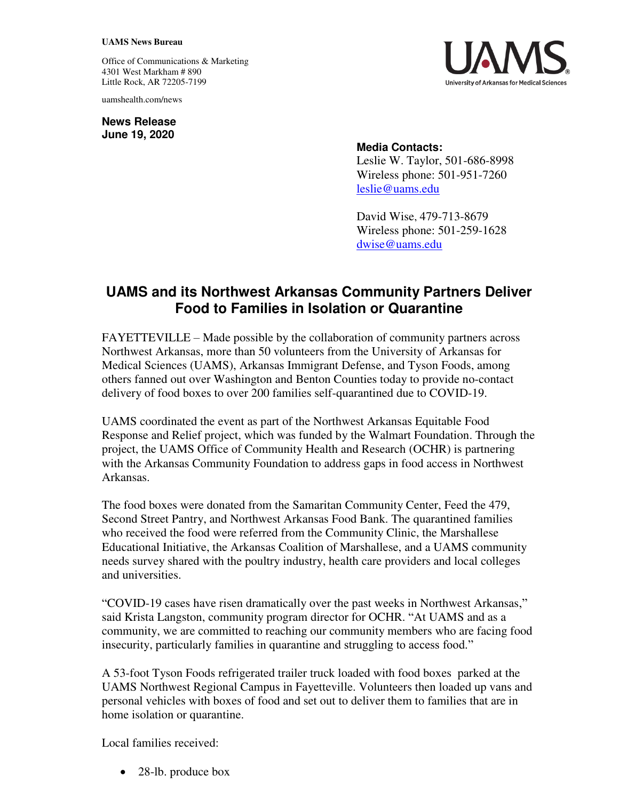## **UAMS News Bureau**

Office of Communications & Marketing 4301 West Markham # 890 Little Rock, AR 72205-7199

uamshealth.com/news

**News Release June 19, 2020**



## **Media Contacts:**

Leslie W. Taylor, 501-686-8998 Wireless phone: 501-951-7260 [leslie@uams.edu](mailto:leslie@uams.edu)

David Wise, 479-713-8679 Wireless phone: 501-259-1628 [dwise@uams.edu](mailto:dwise@uams.edu) 

## **UAMS and its Northwest Arkansas Community Partners Deliver Food to Families in Isolation or Quarantine**

FAYETTEVILLE – Made possible by the collaboration of community partners across Northwest Arkansas, more than 50 volunteers from the University of Arkansas for Medical Sciences (UAMS), Arkansas Immigrant Defense, and Tyson Foods, among others fanned out over Washington and Benton Counties today to provide no-contact delivery of food boxes to over 200 families self-quarantined due to COVID-19.

UAMS coordinated the event as part of the Northwest Arkansas Equitable Food Response and Relief project, which was funded by the Walmart Foundation. Through the project, the UAMS Office of Community Health and Research (OCHR) is partnering with the Arkansas Community Foundation to address gaps in food access in Northwest Arkansas.

The food boxes were donated from the Samaritan Community Center, Feed the 479, Second Street Pantry, and Northwest Arkansas Food Bank. The quarantined families who received the food were referred from the Community Clinic, the Marshallese Educational Initiative, the Arkansas Coalition of Marshallese, and a UAMS community needs survey shared with the poultry industry, health care providers and local colleges and universities.

"COVID-19 cases have risen dramatically over the past weeks in Northwest Arkansas," said Krista Langston, community program director for OCHR. "At UAMS and as a community, we are committed to reaching our community members who are facing food insecurity, particularly families in quarantine and struggling to access food."

A 53-foot Tyson Foods refrigerated trailer truck loaded with food boxes parked at the UAMS Northwest Regional Campus in Fayetteville. Volunteers then loaded up vans and personal vehicles with boxes of food and set out to deliver them to families that are in home isolation or quarantine.

Local families received:

28-lb. produce box